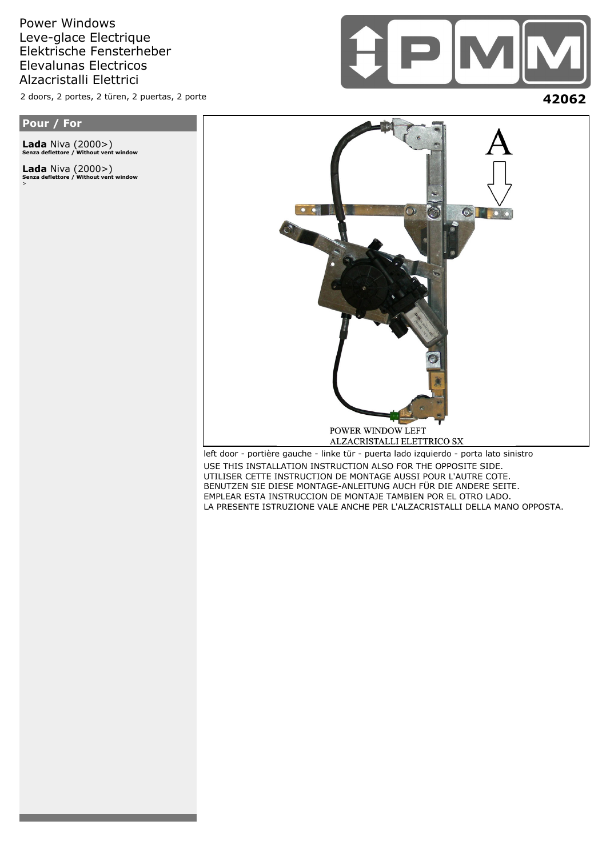# Power Windows Leve-glace Electrique Elektrische Fensterheber Elevalunas Electricos Alzacristalli Elettrici

2 doors, 2 portes, 2 türen, 2 puertas, 2 porte **42062**

# **Pour / For**

**Lada** Niva (2000>) **Senza deflettore / Without vent window**

**Lada** Niva (2000>) **Senza deflettore / Without vent window** >





left door - portière gauche - linke tür - puerta lado izquierdo - porta lato sinistro USE THIS INSTALLATION INSTRUCTION ALSO FOR THE OPPOSITE SIDE. UTILISER CETTE INSTRUCTION DE MONTAGE AUSSI POUR L'AUTRE COTE. BENUTZEN SIE DIESE MONTAGE-ANLEITUNG AUCH FÜR DIE ANDERE SEITE. EMPLEAR ESTA INSTRUCCION DE MONTAJE TAMBIEN POR EL OTRO LADO. LA PRESENTE ISTRUZIONE VALE ANCHE PER L'ALZACRISTALLI DELLA MANO OPPOSTA.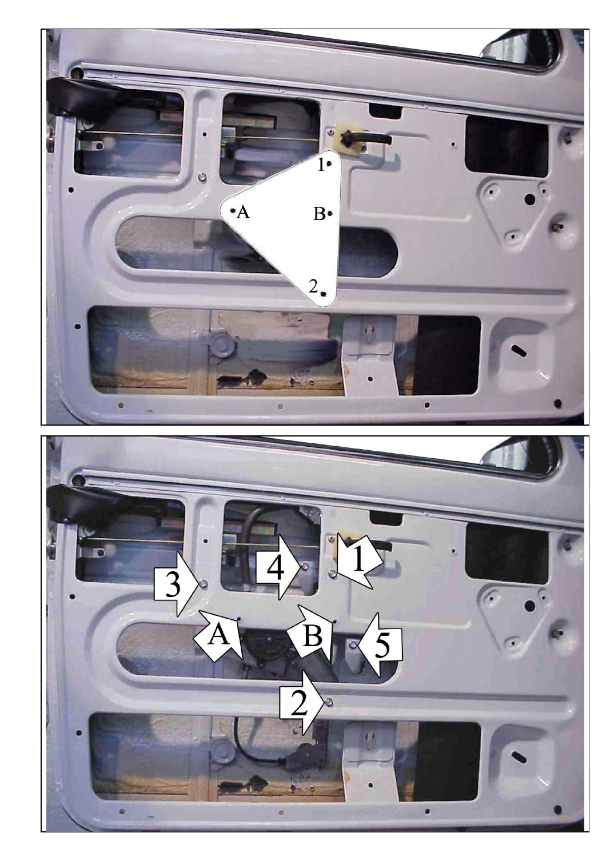